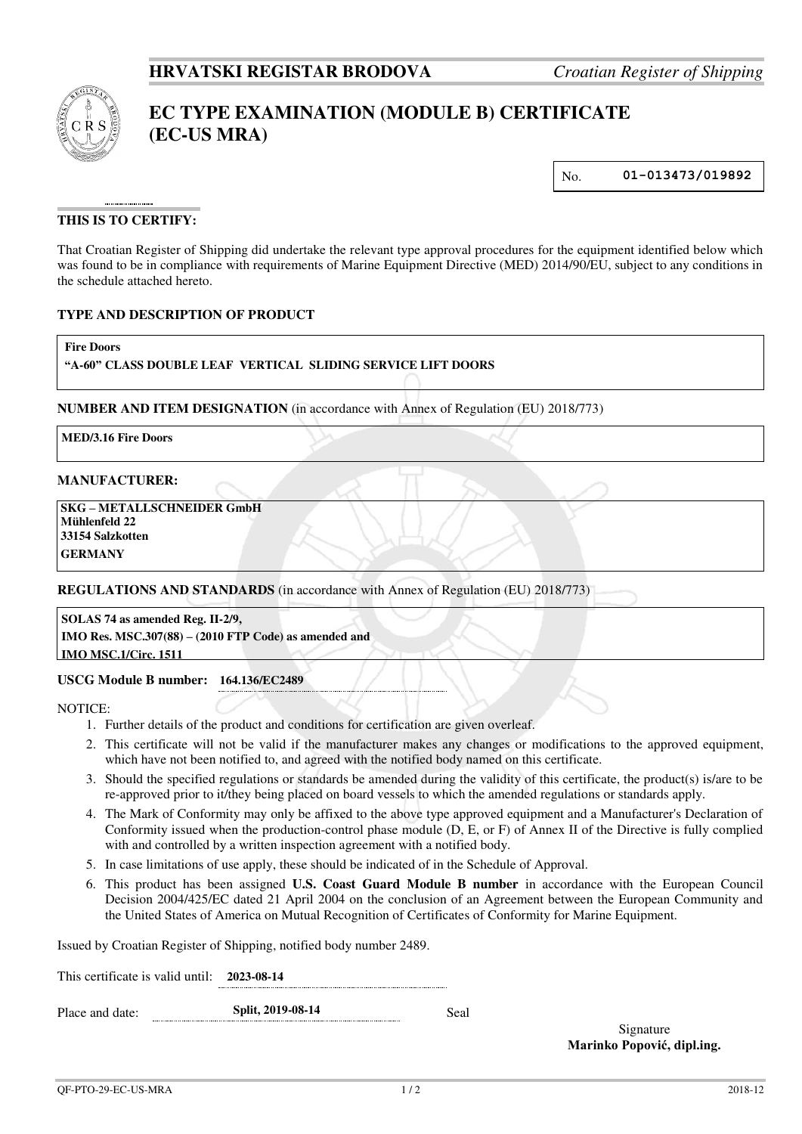

# **EC TYPE EXAMINATION (MODULE B) CERTIFICATE (EC-US MRA)**

No. **01-013473/019892**

## **THIS IS TO CERTIFY:**

That Croatian Register of Shipping did undertake the relevant type approval procedures for the equipment identified below which was found to be in compliance with requirements of Marine Equipment Directive (MED) 2014/90/EU, subject to any conditions in the schedule attached hereto.

#### **TYPE AND DESCRIPTION OF PRODUCT**

**Fire Doors** 

## **"A-60" CLASS DOUBLE LEAF VERTICAL SLIDING SERVICE LIFT DOORS**

**NUMBER AND ITEM DESIGNATION** (in accordance with Annex of Regulation (EU) 2018/773)

**MED/3.16 Fire Doors**

#### **MANUFACTURER:**

 **SKG – METALLSCHNEIDER GmbH Mühlenfeld 22 33154 Salzkotten GERMANY**

**REGULATIONS AND STANDARDS** (in accordance with Annex of Regulation (EU) 2018/773)

**SOLAS 74 as amended Reg. II-2/9, IMO Res. MSC.307(88) – (2010 FTP Code) as amended and IMO MSC.1/Circ. 1511**

#### **USCG Module B number: 164.136/EC2489**

NOTICE:

- 1. Further details of the product and conditions for certification are given overleaf.
- 2. This certificate will not be valid if the manufacturer makes any changes or modifications to the approved equipment, which have not been notified to, and agreed with the notified body named on this certificate.
- 3. Should the specified regulations or standards be amended during the validity of this certificate, the product(s) is/are to be re-approved prior to it/they being placed on board vessels to which the amended regulations or standards apply.
- 4. The Mark of Conformity may only be affixed to the above type approved equipment and a Manufacturer's Declaration of Conformity issued when the production-control phase module (D, E, or F) of Annex II of the Directive is fully complied with and controlled by a written inspection agreement with a notified body.
- 5. In case limitations of use apply, these should be indicated of in the Schedule of Approval.
- 6. This product has been assigned **U.S. Coast Guard Module B number** in accordance with the European Council Decision 2004/425/EC dated 21 April 2004 on the conclusion of an Agreement between the European Community and the United States of America on Mutual Recognition of Certificates of Conformity for Marine Equipment.

Issued by Croatian Register of Shipping, notified body number 2489.

This certificate is valid until: **2023-08-14**

Place and date: **Split, 2019-08-14** Seal

Signature **Marinko Popović, dipl.ing.**